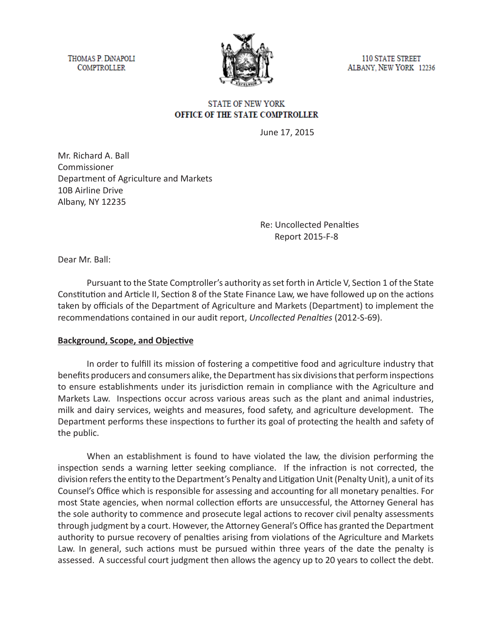THOMAS P. DINAPOLI **COMPTROLLER** 



110 STATE STREET ALBANY, NEW YORK 12236

### **STATE OF NEW YORK** OFFICE OF THE STATE COMPTROLLER

June 17, 2015

Mr. Richard A. Ball Commissioner Department of Agriculture and Markets 10B Airline Drive Albany, NY 12235

> Re: Uncollected Penalties Report 2015-F-8

Dear Mr. Ball:

Pursuant to the State Comptroller's authority as set forth in Article V, Section 1 of the State Constitution and Article II, Section 8 of the State Finance Law, we have followed up on the actions taken by officials of the Department of Agriculture and Markets (Department) to implement the recommendations contained in our audit report, *Uncollected Penalties* (2012-S-69).

#### **Background, Scope, and Objective**

In order to fulfill its mission of fostering a competitive food and agriculture industry that benefits producers and consumers alike, the Department has six divisions that perform inspections to ensure establishments under its jurisdiction remain in compliance with the Agriculture and Markets Law. Inspections occur across various areas such as the plant and animal industries, milk and dairy services, weights and measures, food safety, and agriculture development. The Department performs these inspections to further its goal of protecting the health and safety of the public.

When an establishment is found to have violated the law, the division performing the inspection sends a warning letter seeking compliance. If the infraction is not corrected, the division refers the entity to the Department's Penalty and Litigation Unit (Penalty Unit), a unit of its Counsel's Office which is responsible for assessing and accounting for all monetary penalties. For most State agencies, when normal collection efforts are unsuccessful, the Attorney General has the sole authority to commence and prosecute legal actions to recover civil penalty assessments through judgment by a court. However, the Attorney General's Office has granted the Department authority to pursue recovery of penalties arising from violations of the Agriculture and Markets Law. In general, such actions must be pursued within three years of the date the penalty is assessed. A successful court judgment then allows the agency up to 20 years to collect the debt.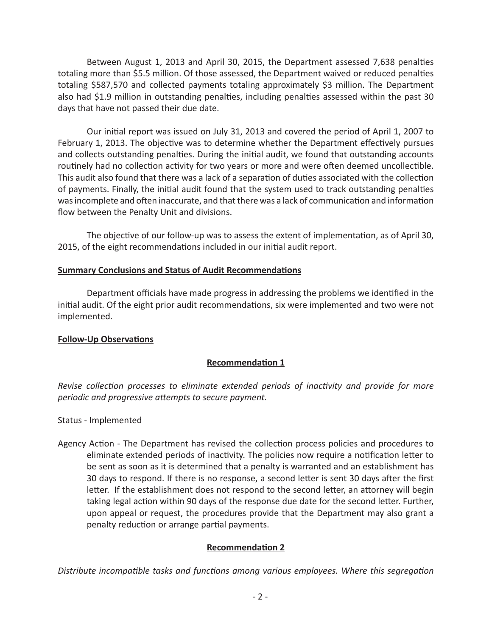Between August 1, 2013 and April 30, 2015, the Department assessed 7,638 penalties totaling more than \$5.5 million. Of those assessed, the Department waived or reduced penalties totaling \$587,570 and collected payments totaling approximately \$3 million. The Department also had \$1.9 million in outstanding penalties, including penalties assessed within the past 30 days that have not passed their due date.

Our initial report was issued on July 31, 2013 and covered the period of April 1, 2007 to February 1, 2013. The objective was to determine whether the Department effectively pursues and collects outstanding penalties. During the initial audit, we found that outstanding accounts routinely had no collection activity for two years or more and were often deemed uncollectible. This audit also found that there was a lack of a separation of duties associated with the collection of payments. Finally, the initial audit found that the system used to track outstanding penalties was incomplete and often inaccurate, and that there was a lack of communication and information flow between the Penalty Unit and divisions.

The objective of our follow-up was to assess the extent of implementation, as of April 30, 2015, of the eight recommendations included in our initial audit report.

### **Summary Conclusions and Status of Audit Recommendations**

Department officials have made progress in addressing the problems we identified in the initial audit. Of the eight prior audit recommendations, six were implemented and two were not implemented.

# **Follow-Up Observations**

# **Recommendation 1**

*Revise collection processes to eliminate extended periods of inactivity and provide for more periodic and progressive attempts to secure payment.*

Status - Implemented

Agency Action - The Department has revised the collection process policies and procedures to eliminate extended periods of inactivity. The policies now require a notification letter to be sent as soon as it is determined that a penalty is warranted and an establishment has 30 days to respond. If there is no response, a second letter is sent 30 days after the first letter. If the establishment does not respond to the second letter, an attorney will begin taking legal action within 90 days of the response due date for the second letter. Further, upon appeal or request, the procedures provide that the Department may also grant a penalty reduction or arrange partial payments.

# **Recommendation 2**

*Distribute incompatible tasks and functions among various employees. Where this segregation*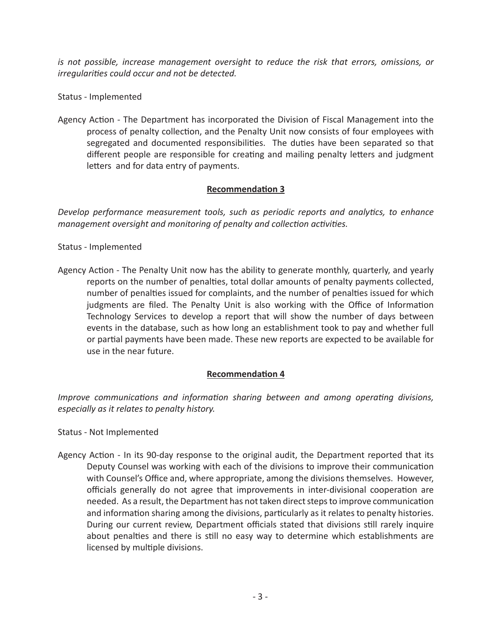*is not possible, increase management oversight to reduce the risk that errors, omissions, or irregularities could occur and not be detected.*

Status - Implemented

Agency Action - The Department has incorporated the Division of Fiscal Management into the process of penalty collection, and the Penalty Unit now consists of four employees with segregated and documented responsibilities. The duties have been separated so that different people are responsible for creating and mailing penalty letters and judgment letters and for data entry of payments.

### **Recommendation 3**

*Develop performance measurement tools, such as periodic reports and analytics, to enhance management oversight and monitoring of penalty and collection activities.*

#### Status - Implemented

Agency Action - The Penalty Unit now has the ability to generate monthly, quarterly, and yearly reports on the number of penalties, total dollar amounts of penalty payments collected, number of penalties issued for complaints, and the number of penalties issued for which judgments are filed. The Penalty Unit is also working with the Office of Information Technology Services to develop a report that will show the number of days between events in the database, such as how long an establishment took to pay and whether full or partial payments have been made. These new reports are expected to be available for use in the near future.

# **Recommendation 4**

*Improve communications and information sharing between and among operating divisions, especially as it relates to penalty history.*

Status - Not Implemented

Agency Action - In its 90-day response to the original audit, the Department reported that its Deputy Counsel was working with each of the divisions to improve their communication with Counsel's Office and, where appropriate, among the divisions themselves. However, officials generally do not agree that improvements in inter-divisional cooperation are needed. As a result, the Department has not taken direct steps to improve communication and information sharing among the divisions, particularly as it relates to penalty histories. During our current review, Department officials stated that divisions still rarely inquire about penalties and there is still no easy way to determine which establishments are licensed by multiple divisions.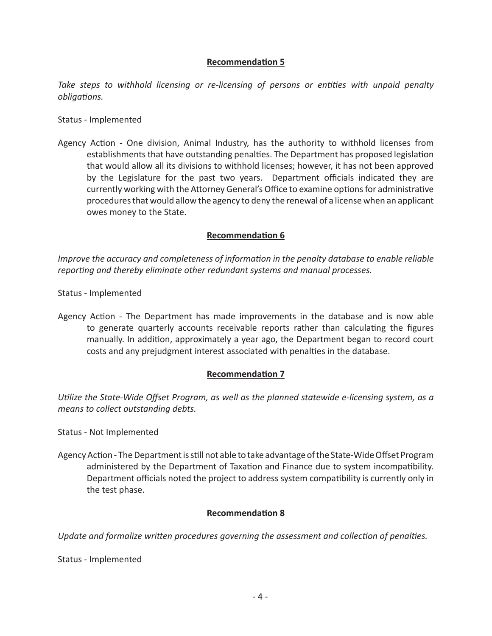# **Recommendation 5**

Take steps to withhold licensing or re-licensing of persons or entities with unpaid penalty *obligations.*

Status - Implemented

Agency Action - One division, Animal Industry, has the authority to withhold licenses from establishments that have outstanding penalties. The Department has proposed legislation that would allow all its divisions to withhold licenses; however, it has not been approved by the Legislature for the past two years. Department officials indicated they are currently working with the Attorney General's Office to examine options for administrative procedures that would allow the agency to deny the renewal of a license when an applicant owes money to the State.

### **Recommendation 6**

*Improve the accuracy and completeness of information in the penalty database to enable reliable reporting and thereby eliminate other redundant systems and manual processes.*

Status - Implemented

Agency Action - The Department has made improvements in the database and is now able to generate quarterly accounts receivable reports rather than calculating the figures manually. In addition, approximately a year ago, the Department began to record court costs and any prejudgment interest associated with penalties in the database.

# **Recommendation 7**

*Utilize the State-Wide Offset Program, as well as the planned statewide e-licensing system, as a means to collect outstanding debts.*

Status - Not Implemented

Agency Action - The Department is still not able to take advantage of the State-Wide Offset Program administered by the Department of Taxation and Finance due to system incompatibility. Department officials noted the project to address system compatibility is currently only in the test phase.

# **Recommendation 8**

*Update and formalize written procedures governing the assessment and collection of penalties.*

Status - Implemented